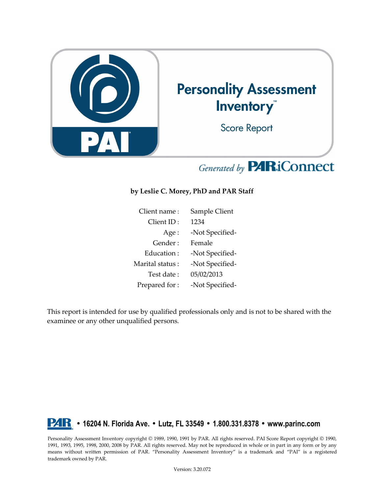

# Generated by **PARiConnect**

## **by Leslie C. Morey, PhD and PAR Staff**

| Client name:    | Sample Client   |
|-----------------|-----------------|
| Client ID:      | 1234            |
| Age:            | -Not Specified- |
| Gender :        | Female          |
| Education:      | -Not Specified- |
| Marital status: | -Not Specified- |
| Test date :     | 05/02/2013      |
| Prepared for:   | -Not Specified- |

This report is intended for use by qualified professionals only and is not to be shared with the examinee or any other unqualified persons.

## **• 16204 N. Florida Ave. • Lutz, FL 33549 • 1.800.331.8378 • www.parinc.com**

Personality Assessment Inventory copyright © 1989, 1990, 1991 by PAR. All rights reserved. PAI Score Report copyright © 1990, 1991, 1993, 1995, 1998, 2000, 2008 by PAR. All rights reserved. May not be reproduced in whole or in part in any form or by any means without written permission of PAR. "Personality Assessment Inventory" is a trademark and "PAI" is a registered trademark owned by PAR.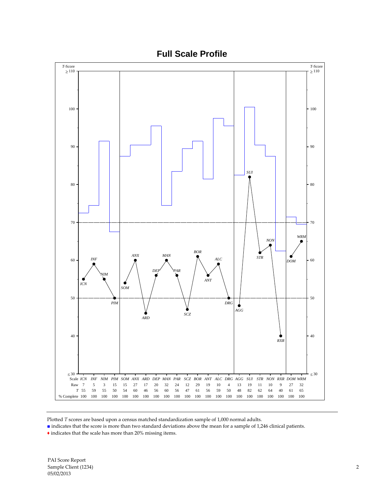

Plotted *T* scores are based upon a census matched standardization sample of 1,000 normal adults.

■ indicates that the score is more than two standard deviations above the mean for a sample of 1,246 clinical patients.

 $\blacklozenge$  indicates that the scale has more than 20% missing items.

PAI Score Report Sample Client (1234) 2 05/02/2013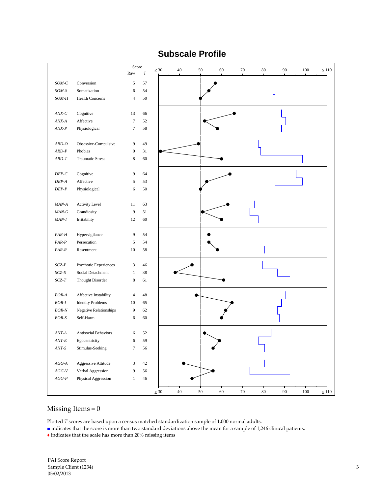## **Subscale Profile**

|                  |                                                   | Score                    |          | $\leq 30$ | 40     | 50     | 60     | 70<br>80         | 90     | 100     | $\geq 110$ |
|------------------|---------------------------------------------------|--------------------------|----------|-----------|--------|--------|--------|------------------|--------|---------|------------|
|                  |                                                   | Raw                      | $\cal T$ |           |        |        |        |                  |        |         |            |
| $SOM-C$          | Conversion                                        | 5                        | 57       |           |        |        |        |                  |        |         |            |
| $SOM-S$          | Somatization                                      | 6                        | 54       |           |        |        |        |                  |        |         |            |
| SOM-H            | Health Concerns                                   | $\overline{\mathcal{L}}$ | 50       |           |        |        |        |                  |        |         |            |
|                  |                                                   |                          |          |           |        |        |        |                  |        |         |            |
| $ANX-C$          | Cognitive                                         | 13                       | 66       |           |        |        |        |                  |        |         |            |
| $\textit{ANX-A}$ | Affective                                         | $\boldsymbol{7}$         | 52       |           |        |        |        |                  |        |         |            |
| $ANX-P$          | Physiological                                     | $\tau$                   | 58       |           |        |        |        |                  |        |         |            |
|                  |                                                   |                          |          |           |        |        |        |                  |        |         |            |
| $ARD-O$          | Obsessive-Compulsive                              | 9                        | 49       |           |        |        |        |                  |        |         |            |
| $ARD-P$          | Phobias                                           | $\boldsymbol{0}$         | 31       |           |        |        |        |                  |        |         |            |
| $ARD-T$          | <b>Traumatic Stress</b>                           | $\,$ 8 $\,$              | 60       |           |        |        |        |                  |        |         |            |
|                  |                                                   |                          |          |           |        |        |        |                  |        |         |            |
| $DEP-C$          | Cognitive                                         | $\overline{9}$           | 64       |           |        |        |        |                  |        |         |            |
| $DEP\text{-}A$   | Affective                                         | 5                        | 53       |           |        |        |        |                  |        |         |            |
| $DEP\text{-}P$   | Physiological                                     | 6                        | 50       |           |        |        |        |                  |        |         |            |
|                  |                                                   |                          |          |           |        |        |        |                  |        |         |            |
| $MAN-A$          | <b>Activity Level</b>                             | 11                       | 63       |           |        |        |        |                  |        |         |            |
| $MAN-G$          | Grandiosity                                       | $\boldsymbol{9}$         | 51       |           |        |        |        |                  |        |         |            |
| $MAN-I$          | Irritability                                      | 12                       | 60       |           |        |        |        |                  |        |         |            |
|                  |                                                   |                          |          |           |        |        |        |                  |        |         |            |
| PAR-H            | Hypervigilance                                    | 9                        | 54       |           |        |        |        |                  |        |         |            |
| $PAR-P$          | Persecution                                       | 5                        | 54       |           |        |        |        |                  |        |         |            |
| $PAR-R$          | Resentment                                        | 10                       | 58       |           |        |        |        |                  |        |         |            |
|                  |                                                   |                          |          |           |        |        |        |                  |        |         |            |
| $SCZ-P$          | Psychotic Experiences                             | 3                        | 46       |           |        |        |        |                  |        |         |            |
| $SCZ\text{-}S$   | Social Detachment                                 | $\mathbf{1}$             | 38       |           |        |        |        |                  |        |         |            |
| $SCZ-T$          | Thought Disorder                                  | $\,$ 8 $\,$              | 61       |           |        |        |        |                  |        |         |            |
|                  |                                                   | $\sqrt{4}$               | 48       |           |        |        |        |                  |        |         |            |
| BOR-A<br>BOR-I   | Affective Instability<br><b>Identity Problems</b> | 10                       | 65       |           |        |        |        |                  |        |         |            |
| BOR-N            | <b>Negative Relationships</b>                     | 9                        | 62       |           |        |        |        |                  |        |         |            |
| $BOR-S$          | Self-Harm                                         | 6                        | 60       |           |        |        |        |                  |        |         |            |
|                  |                                                   |                          |          |           |        |        |        |                  |        |         |            |
| $ANT-A$          | <b>Antisocial Behaviors</b>                       | 6                        | 52       |           |        |        |        |                  |        |         |            |
| $ANT-E$          | Egocentricity                                     | 6                        | 59       |           |        |        |        |                  |        |         |            |
| $ANT\text{-}S$   | Stimulus-Seeking                                  | $\tau$                   | 56       |           |        |        |        |                  |        |         |            |
|                  |                                                   |                          |          |           |        |        |        |                  |        |         |            |
| $AGG\text{-}A$   | Aggressive Attitude                               | $\sqrt{3}$               | $42\,$   |           |        |        |        |                  |        |         |            |
| $AGG\text{-}V$   | Verbal Aggression                                 | 9                        | 56       |           |        |        |        |                  |        |         |            |
| $AGG\text{-}P$   | Physical Aggression                               | $\mathbf{1}$             | $46\,$   |           |        |        |        |                  |        |         |            |
|                  |                                                   |                          |          |           |        |        |        |                  |        |         |            |
|                  |                                                   |                          |          | $\leq 30$ | $40\,$ | $50\,$ | $60\,$ | $70\,$<br>$80\,$ | $90\,$ | $100\,$ | $\geq 110$ |

## Missing Items = 0

Plotted *T* scores are based upon a census matched standardization sample of 1,000 normal adults.

■ indicates that the score is more than two standard deviations above the mean for a sample of 1,246 clinical patients.

 $\blacklozenge$  indicates that the scale has more than 20% missing items

PAI Score Report Sample Client (1234) 3 05/02/2013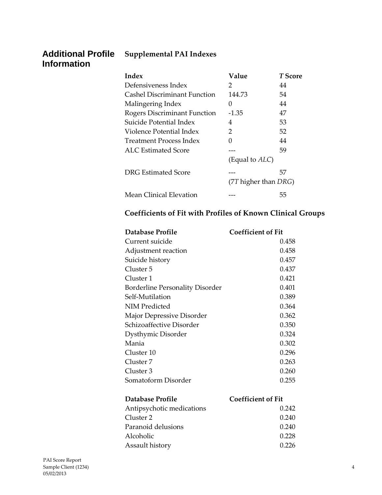## **Additional Profile Information**

## **Supplemental PAI Indexes**

| Index                               | Value                      | T Score |
|-------------------------------------|----------------------------|---------|
| Defensiveness Index                 | 2                          | 44      |
| Cashel Discriminant Function        | 144.73                     | 54      |
| Malingering Index                   | $\mathcal{O}$              | 44      |
| <b>Rogers Discriminant Function</b> | -1.35                      | 47      |
| Suicide Potential Index             | 4                          | 53      |
| Violence Potential Index            | 2                          | 52      |
| Treatment Process Index             | O                          | 44      |
| ALC Estimated Score                 |                            | 59      |
|                                     | (Equal to <i>ALC</i> )     |         |
| DRG Estimated Score                 |                            | 57      |
|                                     | $(7T)$ higher than $DRG$ ) |         |
| Mean Clinical Elevation             |                            | 55      |

## **Coefficients of Fit with Profiles of Known Clinical Groups**

| Database Profile                       | Coefficient of Fit |
|----------------------------------------|--------------------|
| Current suicide                        | 0.458              |
| Adjustment reaction                    | 0.458              |
| Suicide history                        | 0.457              |
| Cluster 5                              | 0.437              |
| Cluster 1                              | 0.421              |
| <b>Borderline Personality Disorder</b> | 0.401              |
| Self-Mutilation                        | 0.389              |
| NIM Predicted                          | 0.364              |
| Major Depressive Disorder              | 0.362              |
| Schizoaffective Disorder               | 0.350              |
| Dysthymic Disorder                     | 0.324              |
| Mania                                  | 0.302              |
| Cluster 10                             | 0.296              |
| Cluster 7                              | 0.263              |
| Cluster 3                              | 0.260              |
| Somatoform Disorder                    | 0.255              |
|                                        |                    |

| Database Profile          | <b>Coefficient of Fit</b> |
|---------------------------|---------------------------|
| Antipsychotic medications | 0.242                     |
| Cluster 2                 | 0.240                     |
| Paranoid delusions        | 0.240                     |
| Alcoholic                 | 0.228                     |
| Assault history           | 0.226                     |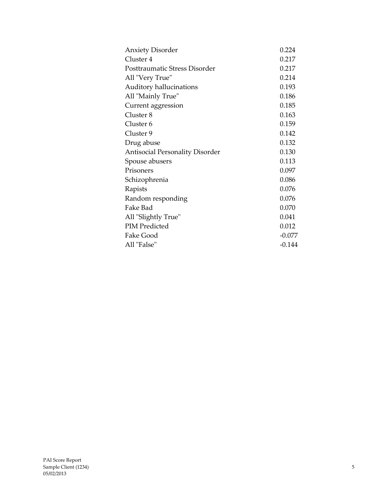| <b>Anxiety Disorder</b>                | 0.224    |
|----------------------------------------|----------|
| Cluster 4                              | 0.217    |
| Posttraumatic Stress Disorder          | 0.217    |
| All "Very True"                        | 0.214    |
| Auditory hallucinations                | 0.193    |
| All "Mainly True"                      | 0.186    |
| Current aggression                     | 0.185    |
| Cluster 8                              | 0.163    |
| Cluster <sub>6</sub>                   | 0.159    |
| Cluster 9                              | 0.142    |
| Drug abuse                             | 0.132    |
| <b>Antisocial Personality Disorder</b> | 0.130    |
| Spouse abusers                         | 0.113    |
| Prisoners                              | 0.097    |
| Schizophrenia                          | 0.086    |
| Rapists                                | 0.076    |
| Random responding                      | 0.076    |
| Fake Bad                               | 0.070    |
| All "Slightly True"                    | 0.041    |
| <b>PIM Predicted</b>                   | 0.012    |
| Fake Good                              | $-0.077$ |
| All "False"                            | $-0.144$ |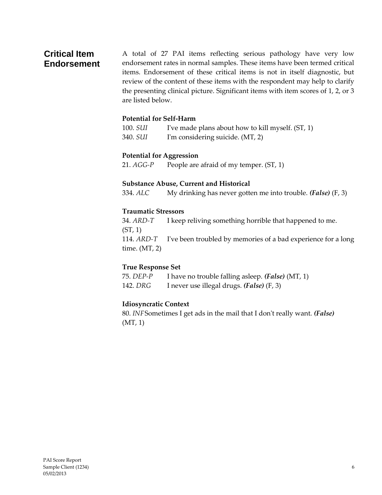## **Critical Item Endorsement**

A total of 27 PAI items reflecting serious pathology have very low endorsement rates in normal samples. These items have been termed critical items. Endorsement of these critical items is not in itself diagnostic, but review of the content of these items with the respondent may help to clarify the presenting clinical picture. Significant items with item scores of 1, 2, or 3 are listed below.

## **Potential for Self-Harm**

100. *SUI* I've made plans about how to kill myself. (ST, 1) 340. *SUI* I'm considering suicide. (MT, 2)

#### **Potential for Aggression**

21. *AGG-P* People are afraid of my temper. (ST, 1)

#### **Substance Abuse, Current and Historical**

334. *ALC* My drinking has never gotten me into trouble. *(False)* (F, 3)

#### **Traumatic Stressors**

34. *ARD-T* I keep reliving something horrible that happened to me. (ST, 1) 114. *ARD-T* I've been troubled by memories of a bad experience for a long time. (MT, 2)

#### **True Response Set**

75. *DEP-P* I have no trouble falling asleep. *(False)* (MT, 1) 142. *DRG* I never use illegal drugs. *(False)* (F, 3)

#### **Idiosyncratic Context**

80. *INF*Sometimes I get ads in the mail that I don't really want. *(False)* (MT, 1)